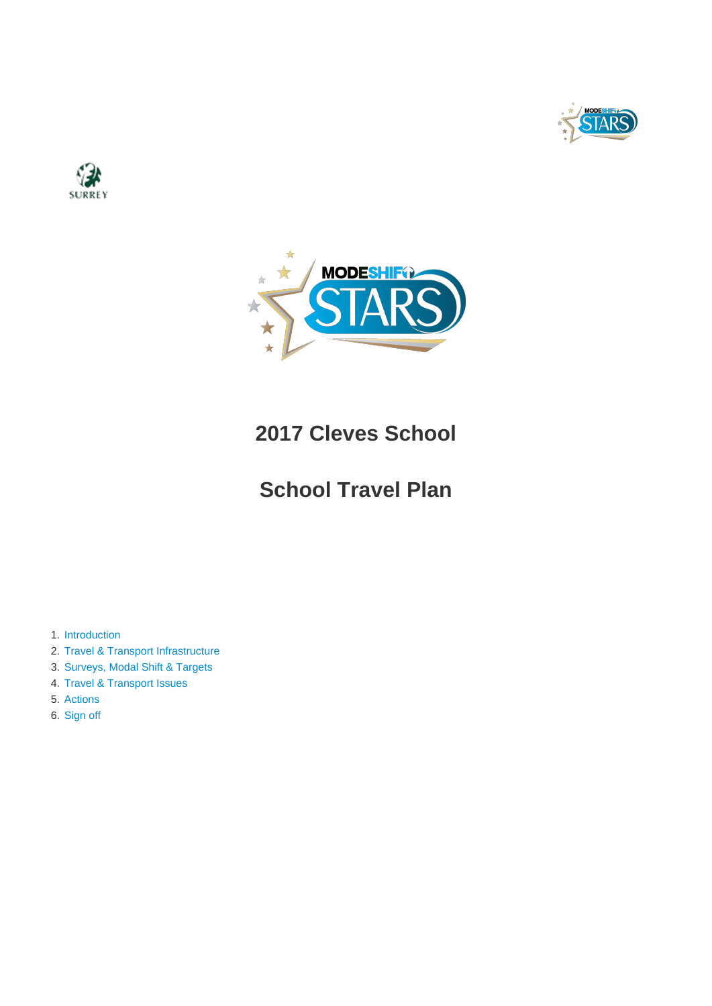





# **2017 Cleves School**

# **School Travel Plan**

- 1. [Introduction](#page-1-0)
- 2. [Travel & Transport Infrastructure](#page-4-0)
- 3. [Surveys, Modal Shift & Targets](#page-7-0)
- 4. [Travel & Transport Issues](#page-13-0)
- 5. [Actions](#page-14-0)
- 6. [Sign off](#page-20-0)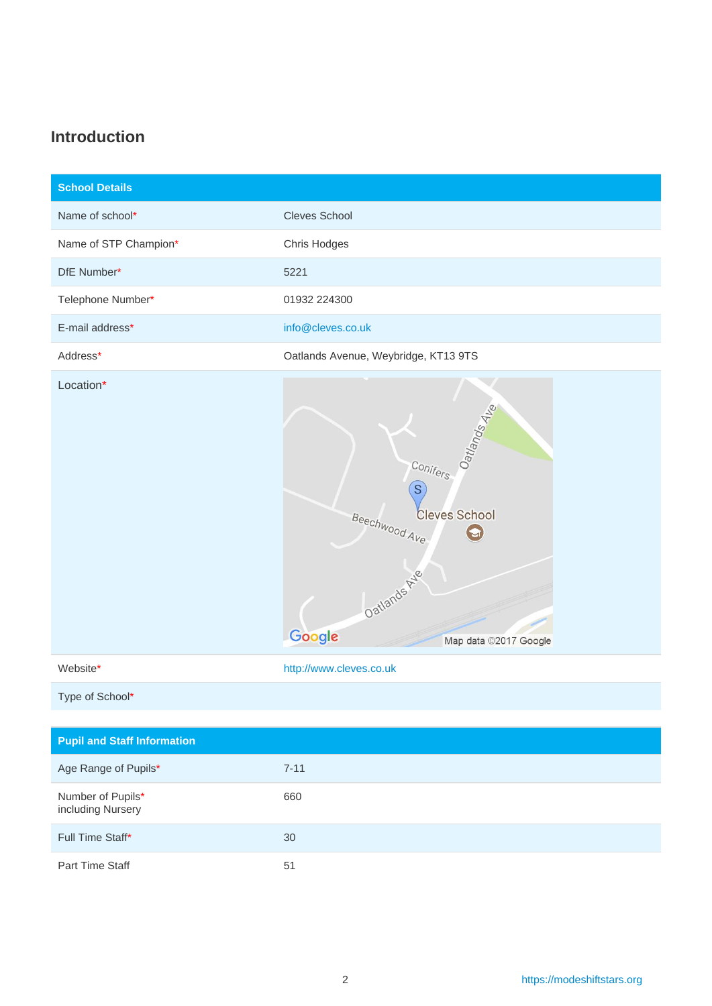### <span id="page-1-0"></span>**Introduction**

| <b>School Details</b> |                                                                                                                           |
|-----------------------|---------------------------------------------------------------------------------------------------------------------------|
| Name of school*       | Cleves School                                                                                                             |
| Name of STP Champion* | Chris Hodges                                                                                                              |
| DfE Number*           | 5221                                                                                                                      |
| Telephone Number*     | 01932 224300                                                                                                              |
| E-mail address*       | info@cleves.co.uk                                                                                                         |
| Address*              | Oatlands Avenue, Weybridge, KT13 9TS                                                                                      |
| Location*             | Oatlands 4ke<br>Conifers<br>S<br><b>Cleves School</b><br>Beechwood Ave<br>Oatlands Ave<br>Google<br>Map data ©2017 Google |
| Website*              | http://www.cleves.co.uk                                                                                                   |

Type of School\*

| <b>Pupil and Staff Information</b>     |          |
|----------------------------------------|----------|
| Age Range of Pupils*                   | $7 - 11$ |
| Number of Pupils*<br>including Nursery | 660      |
| Full Time Staff*                       | 30       |
| Part Time Staff                        | 51       |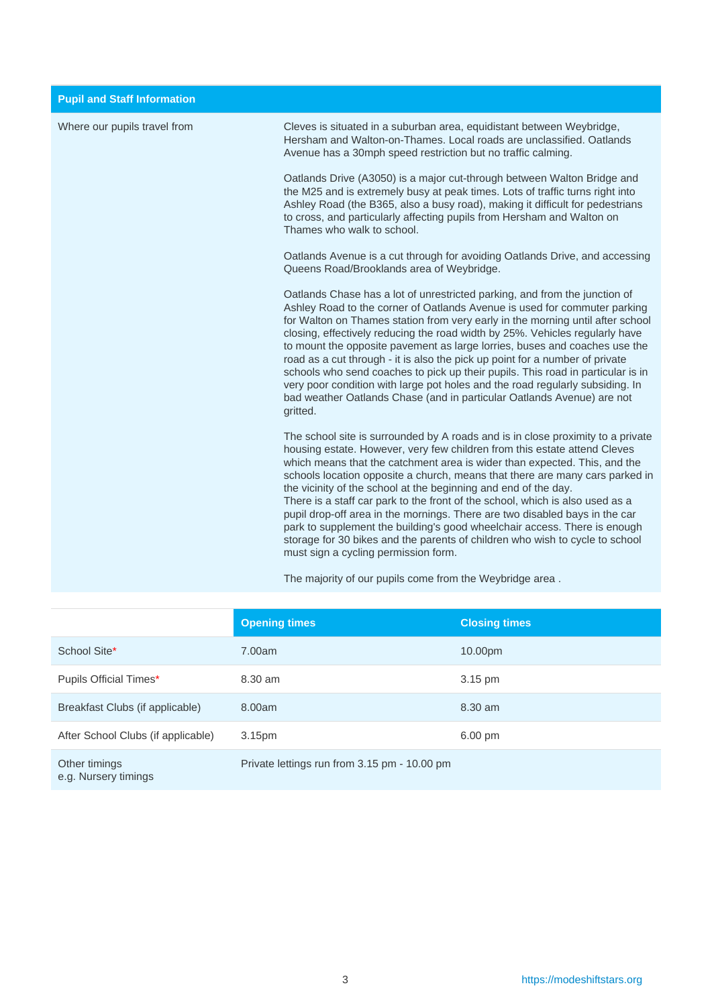| Where our pupils travel from | Cleves is situated in a suburban area, equidistant between Weybridge,<br>Hersham and Walton-on-Thames. Local roads are unclassified. Oatlands<br>Avenue has a 30mph speed restriction but no traffic calming.                                                                                                                                                                                                                                                                                                                                                                                                                                                                                                                                                     |
|------------------------------|-------------------------------------------------------------------------------------------------------------------------------------------------------------------------------------------------------------------------------------------------------------------------------------------------------------------------------------------------------------------------------------------------------------------------------------------------------------------------------------------------------------------------------------------------------------------------------------------------------------------------------------------------------------------------------------------------------------------------------------------------------------------|
|                              | Oatlands Drive (A3050) is a major cut-through between Walton Bridge and<br>the M25 and is extremely busy at peak times. Lots of traffic turns right into<br>Ashley Road (the B365, also a busy road), making it difficult for pedestrians<br>to cross, and particularly affecting pupils from Hersham and Walton on<br>Thames who walk to school.                                                                                                                                                                                                                                                                                                                                                                                                                 |
|                              | Oatlands Avenue is a cut through for avoiding Oatlands Drive, and accessing<br>Queens Road/Brooklands area of Weybridge.                                                                                                                                                                                                                                                                                                                                                                                                                                                                                                                                                                                                                                          |
|                              | Oatlands Chase has a lot of unrestricted parking, and from the junction of<br>Ashley Road to the corner of Oatlands Avenue is used for commuter parking<br>for Walton on Thames station from very early in the morning until after school<br>closing, effectively reducing the road width by 25%. Vehicles regularly have<br>to mount the opposite pavement as large lorries, buses and coaches use the<br>road as a cut through - it is also the pick up point for a number of private<br>schools who send coaches to pick up their pupils. This road in particular is in<br>very poor condition with large pot holes and the road regularly subsiding. In<br>bad weather Oatlands Chase (and in particular Oatlands Avenue) are not<br>gritted.                 |
|                              | The school site is surrounded by A roads and is in close proximity to a private<br>housing estate. However, very few children from this estate attend Cleves<br>which means that the catchment area is wider than expected. This, and the<br>schools location opposite a church, means that there are many cars parked in<br>the vicinity of the school at the beginning and end of the day.<br>There is a staff car park to the front of the school, which is also used as a<br>pupil drop-off area in the mornings. There are two disabled bays in the car<br>park to supplement the building's good wheelchair access. There is enough<br>storage for 30 bikes and the parents of children who wish to cycle to school<br>must sign a cycling permission form. |
|                              | The majority of our pupils come from the Weybridge area.                                                                                                                                                                                                                                                                                                                                                                                                                                                                                                                                                                                                                                                                                                          |

|                                       | <b>Opening times</b>                         | <b>Closing times</b> |
|---------------------------------------|----------------------------------------------|----------------------|
| School Site*                          | 7.00am                                       | 10.00pm              |
| Pupils Official Times*                | 8.30 am                                      | 3.15 pm              |
| Breakfast Clubs (if applicable)       | 8.00am                                       | 8.30 am              |
| After School Clubs (if applicable)    | 3.15 <sub>pm</sub>                           | 6.00 pm              |
| Other timings<br>e.g. Nursery timings | Private lettings run from 3.15 pm - 10.00 pm |                      |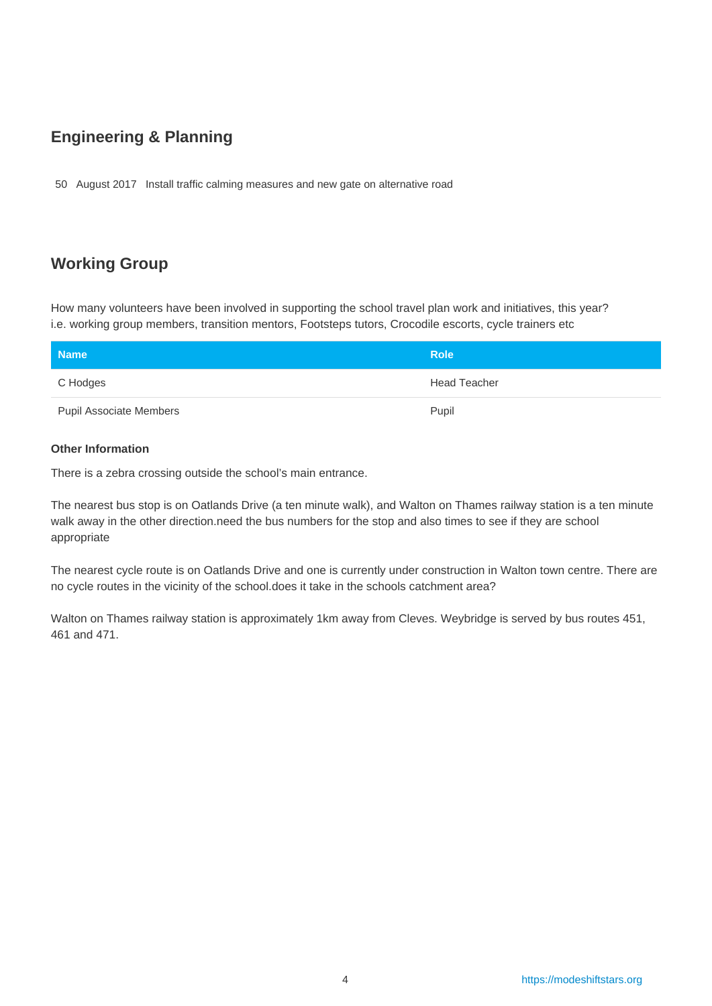## **Engineering & Planning**

50 August 2017 Install traffic calming measures and new gate on alternative road

## **Working Group**

How many volunteers have been involved in supporting the school travel plan work and initiatives, this year? i.e. working group members, transition mentors, Footsteps tutors, Crocodile escorts, cycle trainers etc

| <b>Name</b>                    | <b>Role</b>         |
|--------------------------------|---------------------|
| C Hodges                       | <b>Head Teacher</b> |
| <b>Pupil Associate Members</b> | Pupil               |

#### **Other Information**

There is a zebra crossing outside the school's main entrance.

The nearest bus stop is on Oatlands Drive (a ten minute walk), and Walton on Thames railway station is a ten minute walk away in the other direction.need the bus numbers for the stop and also times to see if they are school appropriate

The nearest cycle route is on Oatlands Drive and one is currently under construction in Walton town centre. There are no cycle routes in the vicinity of the school.does it take in the schools catchment area?

Walton on Thames railway station is approximately 1km away from Cleves. Weybridge is served by bus routes 451, 461 and 471.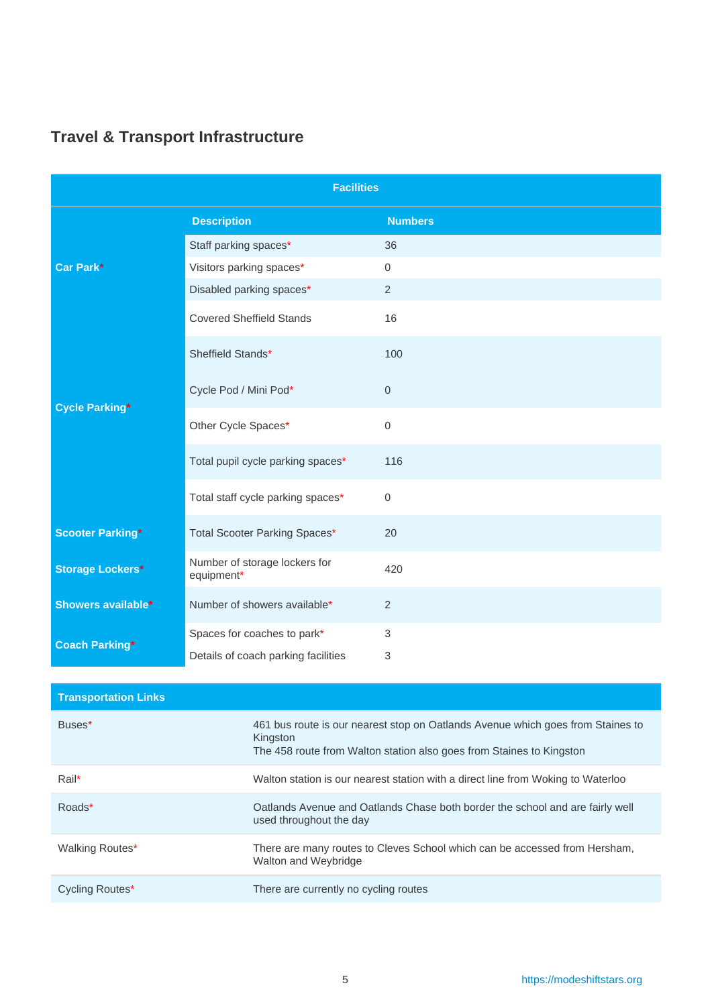| <b>Facilities</b>         |                                             |                |  |  |  |  |  |
|---------------------------|---------------------------------------------|----------------|--|--|--|--|--|
|                           | <b>Description</b>                          | <b>Numbers</b> |  |  |  |  |  |
|                           | Staff parking spaces*                       | 36             |  |  |  |  |  |
| Car Park*                 | Visitors parking spaces*                    | 0              |  |  |  |  |  |
|                           | Disabled parking spaces*                    | 2              |  |  |  |  |  |
|                           | <b>Covered Sheffield Stands</b>             | 16             |  |  |  |  |  |
|                           | Sheffield Stands*                           | 100            |  |  |  |  |  |
| <b>Cycle Parking*</b>     | Cycle Pod / Mini Pod*                       | $\mathbf 0$    |  |  |  |  |  |
|                           | Other Cycle Spaces*                         | $\mathbf{0}$   |  |  |  |  |  |
|                           | Total pupil cycle parking spaces*           | 116            |  |  |  |  |  |
|                           | Total staff cycle parking spaces*           | 0              |  |  |  |  |  |
| <b>Scooter Parking*</b>   | Total Scooter Parking Spaces*               | 20             |  |  |  |  |  |
| <b>Storage Lockers*</b>   | Number of storage lockers for<br>equipment* | 420            |  |  |  |  |  |
| <b>Showers available*</b> | Number of showers available*                | 2              |  |  |  |  |  |
| <b>Coach Parking*</b>     | Spaces for coaches to park*                 | 3              |  |  |  |  |  |
|                           | Details of coach parking facilities         | 3              |  |  |  |  |  |

## <span id="page-4-0"></span>**Travel & Transport Infrastructure**

| <b>Transportation Links</b> |                                                                                                                                                                     |
|-----------------------------|---------------------------------------------------------------------------------------------------------------------------------------------------------------------|
| Buses*                      | 461 bus route is our nearest stop on Oatlands Avenue which goes from Staines to<br>Kingston<br>The 458 route from Walton station also goes from Staines to Kingston |
| Rail*                       | Walton station is our nearest station with a direct line from Woking to Waterloo                                                                                    |
| Roads*                      | Oatlands Avenue and Oatlands Chase both border the school and are fairly well<br>used throughout the day                                                            |
| Walking Routes*             | There are many routes to Cleves School which can be accessed from Hersham,<br>Walton and Weybridge                                                                  |
| Cycling Routes*             | There are currently no cycling routes                                                                                                                               |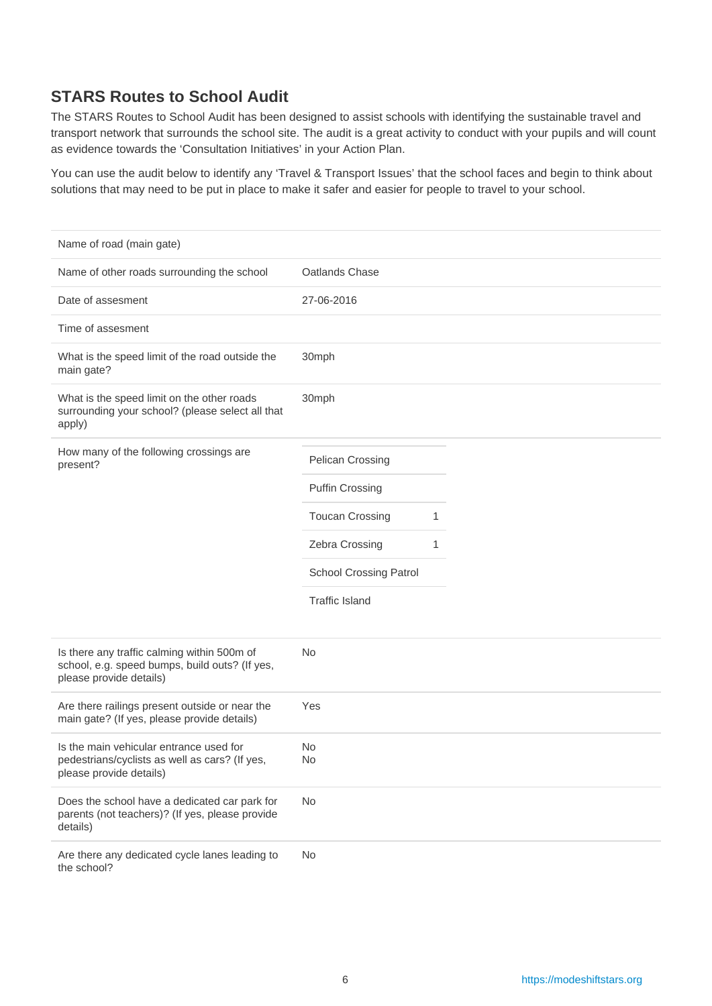## **STARS Routes to School Audit**

The STARS Routes to School Audit has been designed to assist schools with identifying the sustainable travel and transport network that surrounds the school site. The audit is a great activity to conduct with your pupils and will count as evidence towards the 'Consultation Initiatives' in your Action Plan.

You can use the audit below to identify any 'Travel & Transport Issues' that the school faces and begin to think about solutions that may need to be put in place to make it safer and easier for people to travel to your school.

| Name of road (main gate)                                                                                                 |                             |
|--------------------------------------------------------------------------------------------------------------------------|-----------------------------|
| Name of other roads surrounding the school                                                                               | Oatlands Chase              |
| Date of assesment                                                                                                        | 27-06-2016                  |
| Time of assesment                                                                                                        |                             |
| What is the speed limit of the road outside the<br>main gate?                                                            | 30mph                       |
| What is the speed limit on the other roads<br>surrounding your school? (please select all that<br>apply)                 | 30mph                       |
| How many of the following crossings are<br>present?                                                                      | Pelican Crossing            |
|                                                                                                                          | <b>Puffin Crossing</b>      |
|                                                                                                                          | <b>Toucan Crossing</b><br>1 |
|                                                                                                                          | Zebra Crossing<br>1         |
|                                                                                                                          | School Crossing Patrol      |
|                                                                                                                          | <b>Traffic Island</b>       |
| Is there any traffic calming within 500m of<br>school, e.g. speed bumps, build outs? (If yes,<br>please provide details) | No                          |
| Are there railings present outside or near the<br>main gate? (If yes, please provide details)                            | Yes                         |
| Is the main vehicular entrance used for<br>pedestrians/cyclists as well as cars? (If yes,<br>please provide details)     | No<br>No                    |
| Does the school have a dedicated car park for<br>parents (not teachers)? (If yes, please provide<br>details)             | No                          |
| Are there any dedicated cycle lanes leading to<br>the school?                                                            | No                          |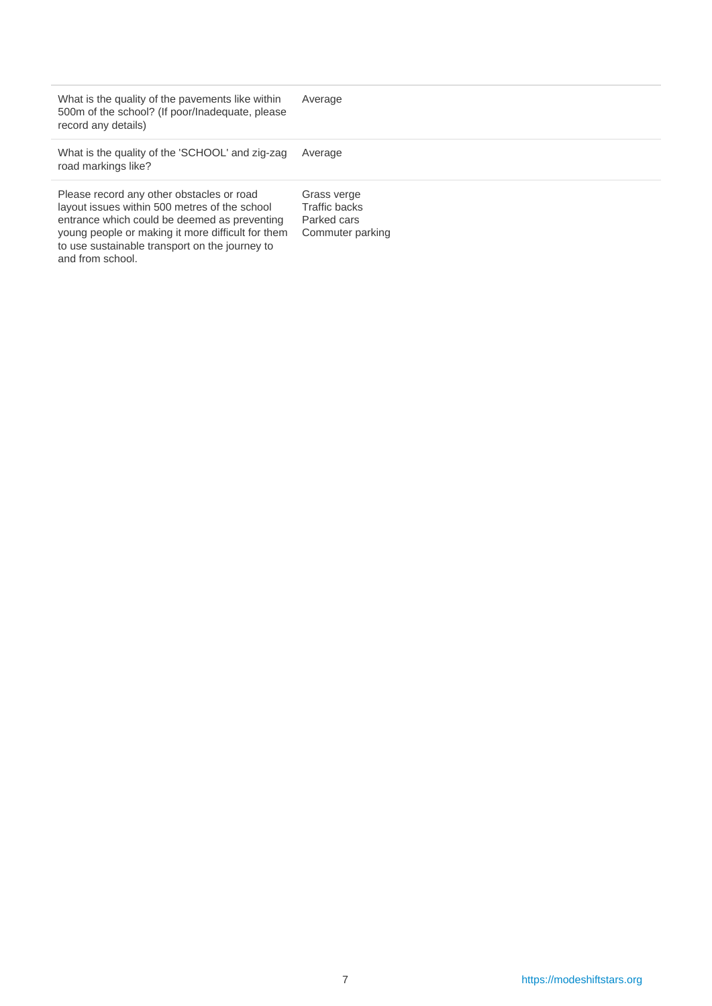| What is the quality of the pavements like within<br>500m of the school? (If poor/Inadequate, please<br>record any details)                                                                                                                                            | Average                                                         |
|-----------------------------------------------------------------------------------------------------------------------------------------------------------------------------------------------------------------------------------------------------------------------|-----------------------------------------------------------------|
| What is the quality of the 'SCHOOL' and zig-zag<br>road markings like?                                                                                                                                                                                                | Average                                                         |
| Please record any other obstacles or road<br>layout issues within 500 metres of the school<br>entrance which could be deemed as preventing<br>young people or making it more difficult for them<br>to use sustainable transport on the journey to<br>and from school. | Grass verge<br>Traffic backs<br>Parked cars<br>Commuter parking |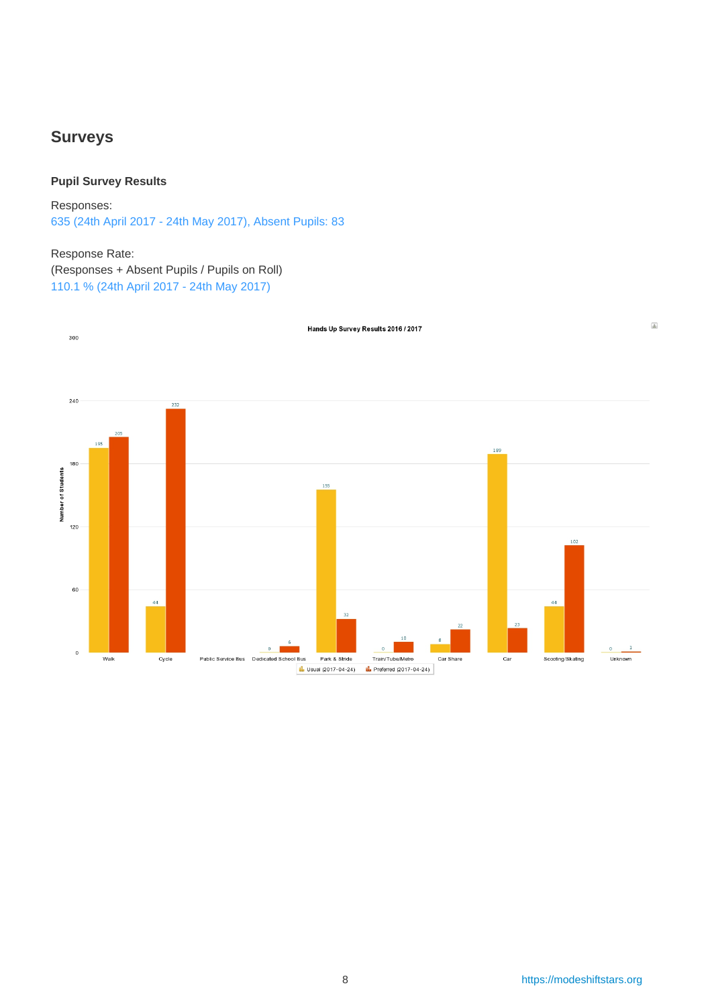### <span id="page-7-0"></span>**Surveys**

#### **Pupil Survey Results**

Responses: 635 (24th April 2017 - 24th May 2017), Absent Pupils: 83

#### Response Rate:

(Responses + Absent Pupils / Pupils on Roll) 110.1 % (24th April 2017 - 24th May 2017)

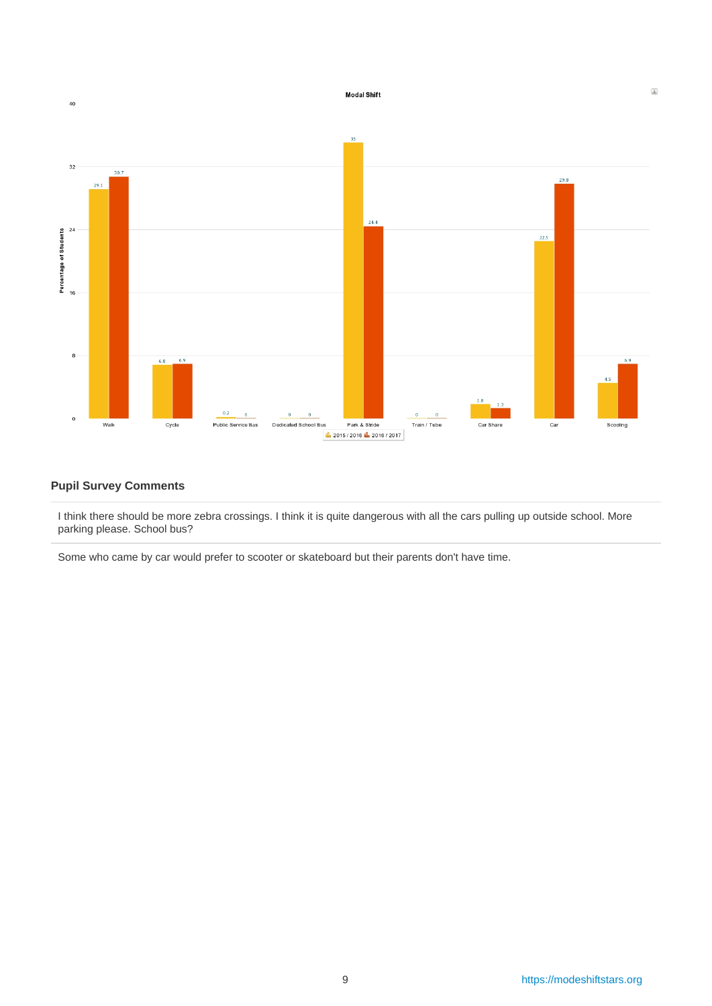

#### **Pupil Survey Comments**

I think there should be more zebra crossings. I think it is quite dangerous with all the cars pulling up outside school. More parking please. School bus?

Some who came by car would prefer to scooter or skateboard but their parents don't have time.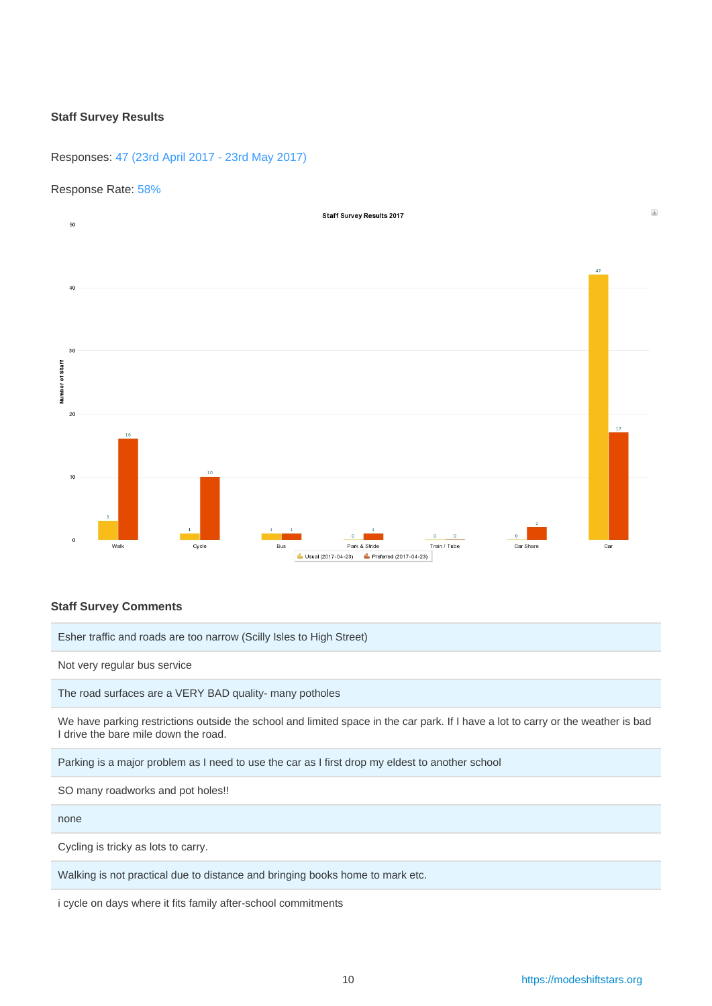#### **Staff Survey Results**

#### Responses: 47 (23rd April 2017 - 23rd May 2017)

#### Response Rate: 58%



#### **Staff Survey Comments**

Esher traffic and roads are too narrow (Scilly Isles to High Street)

Not very regular bus service

The road surfaces are a VERY BAD quality- many potholes

We have parking restrictions outside the school and limited space in the car park. If I have a lot to carry or the weather is bad I drive the bare mile down the road.

Parking is a major problem as I need to use the car as I first drop my eldest to another school

SO many roadworks and pot holes!!

none

Cycling is tricky as lots to carry.

Walking is not practical due to distance and bringing books home to mark etc.

i cycle on days where it fits family after-school commitments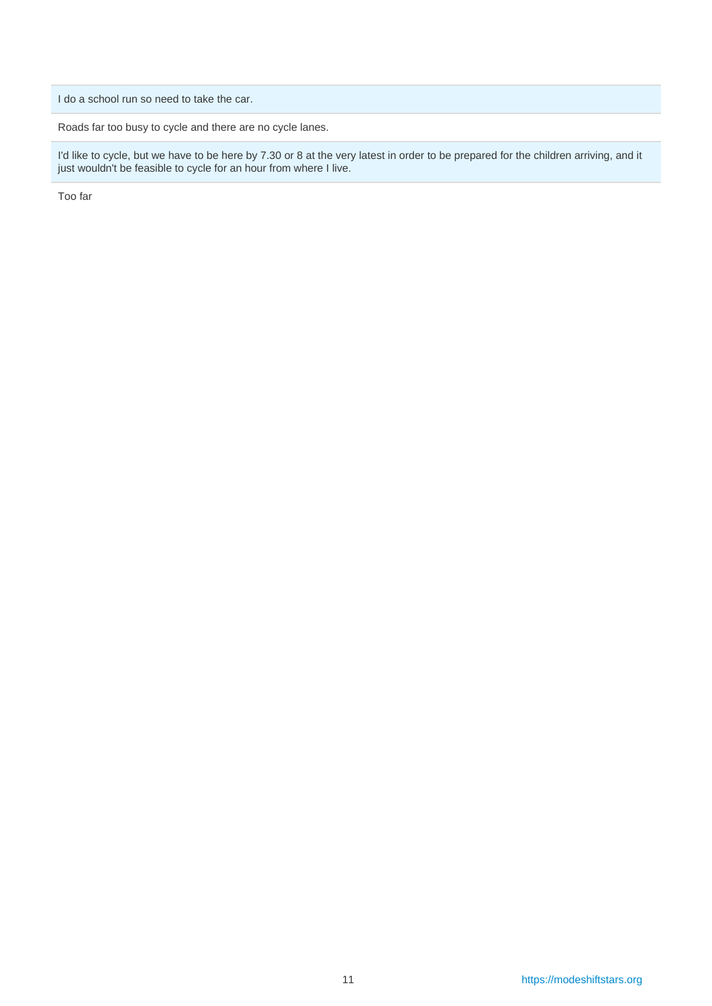I do a school run so need to take the car.

Roads far too busy to cycle and there are no cycle lanes.

I'd like to cycle, but we have to be here by 7.30 or 8 at the very latest in order to be prepared for the children arriving, and it just wouldn't be feasible to cycle for an hour from where I live.

Too far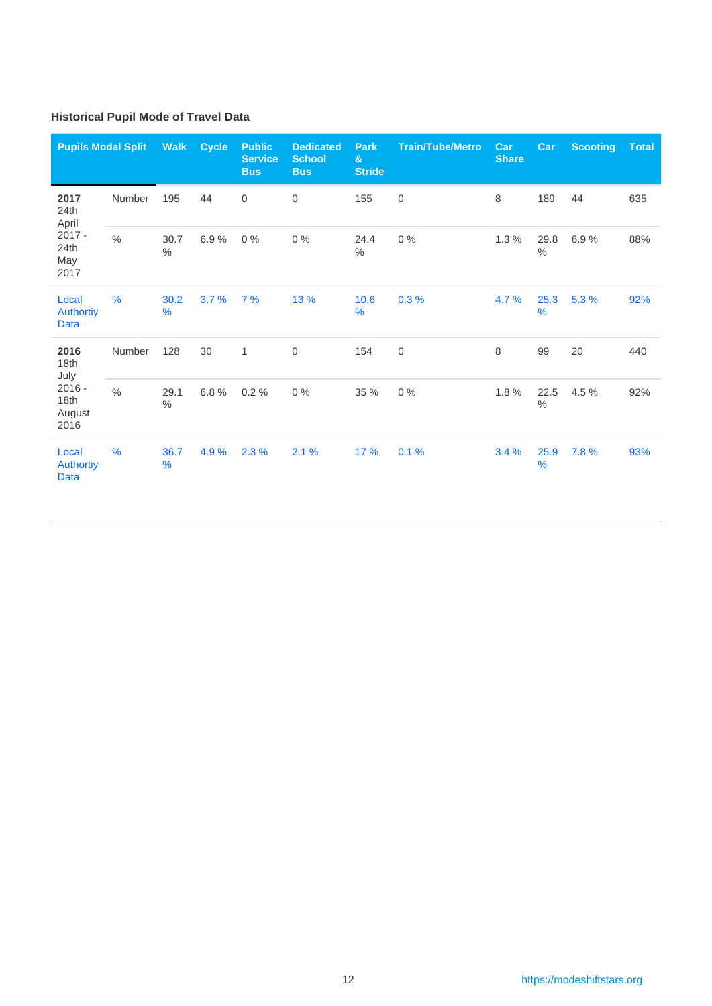### **Historical Pupil Mode of Travel Data**

| <b>Pupils Modal Split</b>                |               | <b>Walk</b>  | <b>Cycle</b> | <b>Public</b><br><b>Service</b><br><b>Bus</b> | <b>Dedicated</b><br><b>School</b><br><b>Bus</b> | <b>Park</b><br>$\mathbf{g}$<br><b>Stride</b> | <b>Train/Tube/Metro</b> | Car<br><b>Share</b> | Car          | <b>Scooting</b> | <b>Total</b> |
|------------------------------------------|---------------|--------------|--------------|-----------------------------------------------|-------------------------------------------------|----------------------------------------------|-------------------------|---------------------|--------------|-----------------|--------------|
| 2017<br>24th<br>April                    | Number        | 195          | 44           | 0                                             | $\mathbf 0$                                     | 155                                          | $\boldsymbol{0}$        | 8                   | 189          | 44              | 635          |
| $2017 -$<br>24th<br>May<br>2017          | $\frac{0}{0}$ | 30.7<br>$\%$ | 6.9%         | $0\%$                                         | 0%                                              | 24.4<br>$\%$                                 | $0\%$                   | 1.3%                | 29.8<br>$\%$ | 6.9%            | 88%          |
| Local<br><b>Authortiy</b><br><b>Data</b> | $\frac{9}{6}$ | 30.2<br>%    | 3.7%         | 7%                                            | 13 %                                            | 10.6<br>%                                    | 0.3%                    | 4.7%                | 25.3<br>%    | 5.3 %           | 92%          |
| 2016<br>18th<br>July                     | Number        | 128          | 30           | $\mathbf{1}$                                  | $\boldsymbol{0}$                                | 154                                          | $\boldsymbol{0}$        | 8                   | 99           | 20              | 440          |
| $2016 -$<br>18th<br>August<br>2016       | $\frac{0}{0}$ | 29.1<br>$\%$ | 6.8%         | 0.2%                                          | 0%                                              | 35 %                                         | $0\%$                   | 1.8%                | 22.5<br>$\%$ | 4.5 %           | 92%          |
| Local<br><b>Authortiy</b><br><b>Data</b> | $\frac{9}{6}$ | 36.7<br>$\%$ | 4.9%         | 2.3%                                          | 2.1%                                            | 17 %                                         | 0.1%                    | 3.4%                | 25.9<br>$\%$ | 7.8%            | 93%          |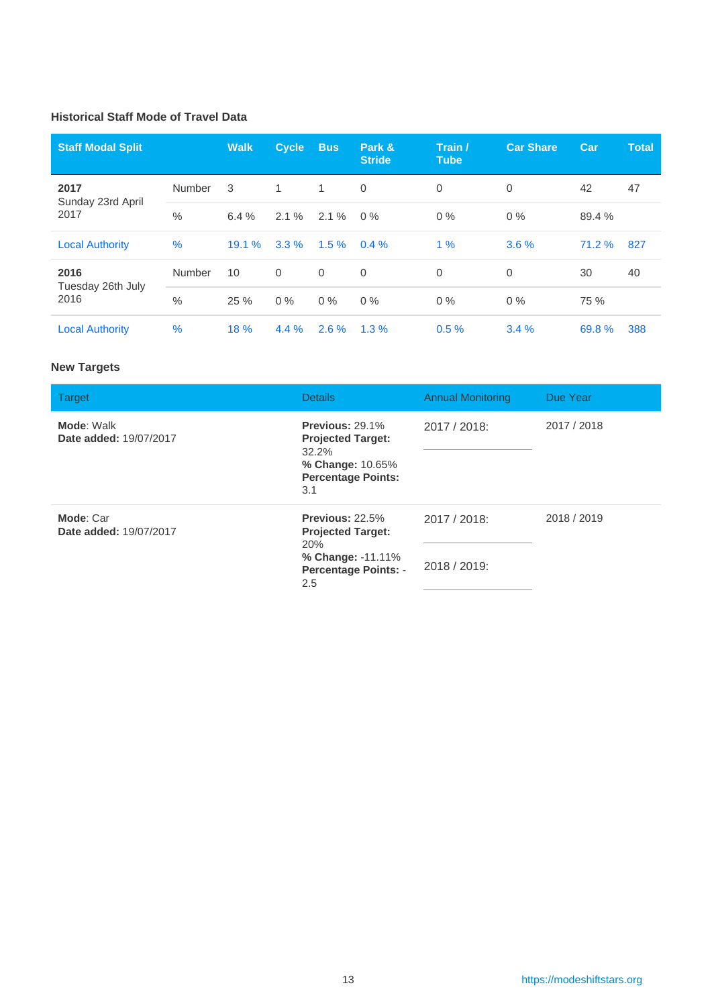#### **Historical Staff Mode of Travel Data**

| <b>Staff Modal Split</b>  |        | <b>Walk</b> | <b>Cycle</b> | <b>Bus</b>   | Park &<br><b>Stride</b> | Train /<br><b>Tube</b> | <b>Car Share</b> | Car    | <b>Total</b> |
|---------------------------|--------|-------------|--------------|--------------|-------------------------|------------------------|------------------|--------|--------------|
| 2017<br>Sunday 23rd April | Number | 3           | $\mathbf{1}$ | $\mathbf{1}$ | 0                       | $\Omega$               | $\mathbf 0$      | 42     | 47           |
| 2017                      | $\%$   | 6.4%        | 2.1%         | 2.1%         | $0\%$                   | $0\%$                  | $0\%$            | 89.4 % |              |
| <b>Local Authority</b>    | $\%$   | 19.1%       | 3.3%         | $1.5 \%$     | $0.4 \%$                | $1\%$                  | 3.6%             | 71.2 % | 827          |
| 2016<br>Tuesday 26th July | Number | 10          | $\Omega$     | $\mathbf 0$  | 0                       | $\mathbf 0$            | 0                | 30     | 40           |
| 2016                      | $\%$   | 25 %        | $0\%$        | $0\%$        | $0\%$                   | $0\%$                  | $0\%$            | 75 %   |              |
| <b>Local Authority</b>    | $\%$   | 18 %        | 4.4%         | $2.6 \%$     | 1.3%                    | 0.5%                   | 3.4%             | 69.8%  | 388          |

#### **New Targets**

| <b>Target</b>                        | <b>Details</b>                                                                                                | <b>Annual Monitoring</b>     | Due Year    |
|--------------------------------------|---------------------------------------------------------------------------------------------------------------|------------------------------|-------------|
| Mode: Walk<br>Date added: 19/07/2017 | Previous: 29.1%<br><b>Projected Target:</b><br>32.2%<br>% Change: 10.65%<br><b>Percentage Points:</b><br>3.1  | 2017 / 2018:                 | 2017 / 2018 |
| Mode: Car<br>Date added: 19/07/2017  | Previous: 22.5%<br><b>Projected Target:</b><br>20%<br>% Change: -11.11%<br><b>Percentage Points: -</b><br>2.5 | 2017 / 2018:<br>2018 / 2019: | 2018 / 2019 |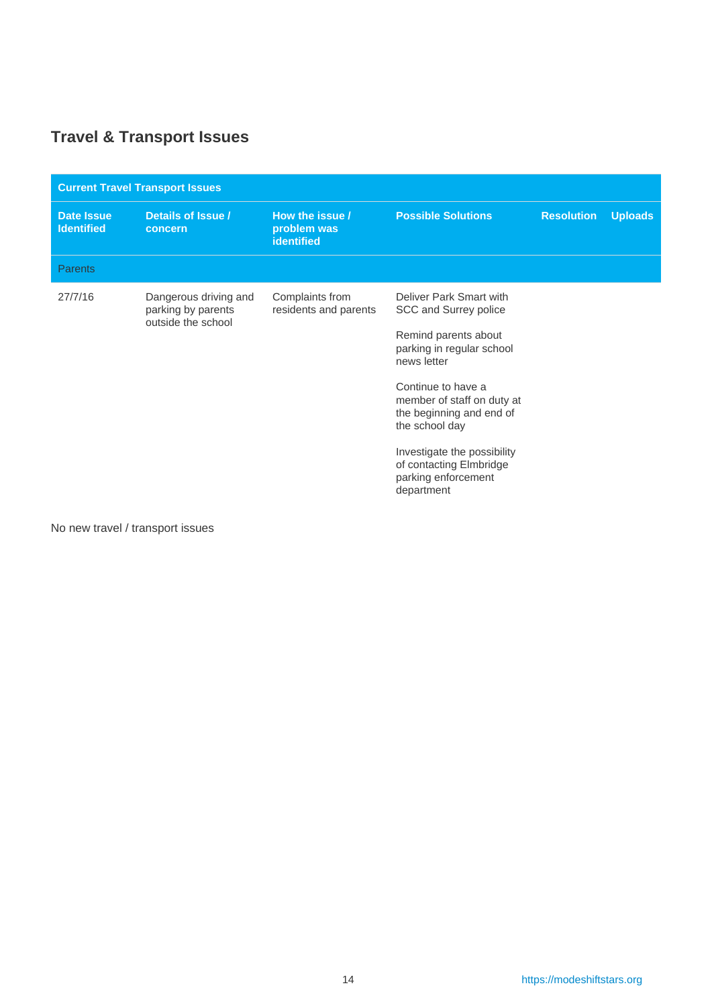# <span id="page-13-0"></span>**Travel & Transport Issues**

| <b>Current Travel Transport Issues</b> |                                                                                                            |                                          |                                                                                                                                                                                                                                                                                                                       |                |  |  |  |  |  |
|----------------------------------------|------------------------------------------------------------------------------------------------------------|------------------------------------------|-----------------------------------------------------------------------------------------------------------------------------------------------------------------------------------------------------------------------------------------------------------------------------------------------------------------------|----------------|--|--|--|--|--|
| <b>Date Issue</b><br><b>Identified</b> | Details of Issue /<br>How the issue /<br><b>Possible Solutions</b><br>problem was<br>concern<br>identified |                                          | <b>Resolution</b>                                                                                                                                                                                                                                                                                                     | <b>Uploads</b> |  |  |  |  |  |
| <b>Parents</b>                         |                                                                                                            |                                          |                                                                                                                                                                                                                                                                                                                       |                |  |  |  |  |  |
| 27/7/16                                | Dangerous driving and<br>parking by parents<br>outside the school                                          | Complaints from<br>residents and parents | Deliver Park Smart with<br>SCC and Surrey police<br>Remind parents about<br>parking in regular school<br>news letter<br>Continue to have a<br>member of staff on duty at<br>the beginning and end of<br>the school day<br>Investigate the possibility<br>of contacting Elmbridge<br>parking enforcement<br>department |                |  |  |  |  |  |

No new travel / transport issues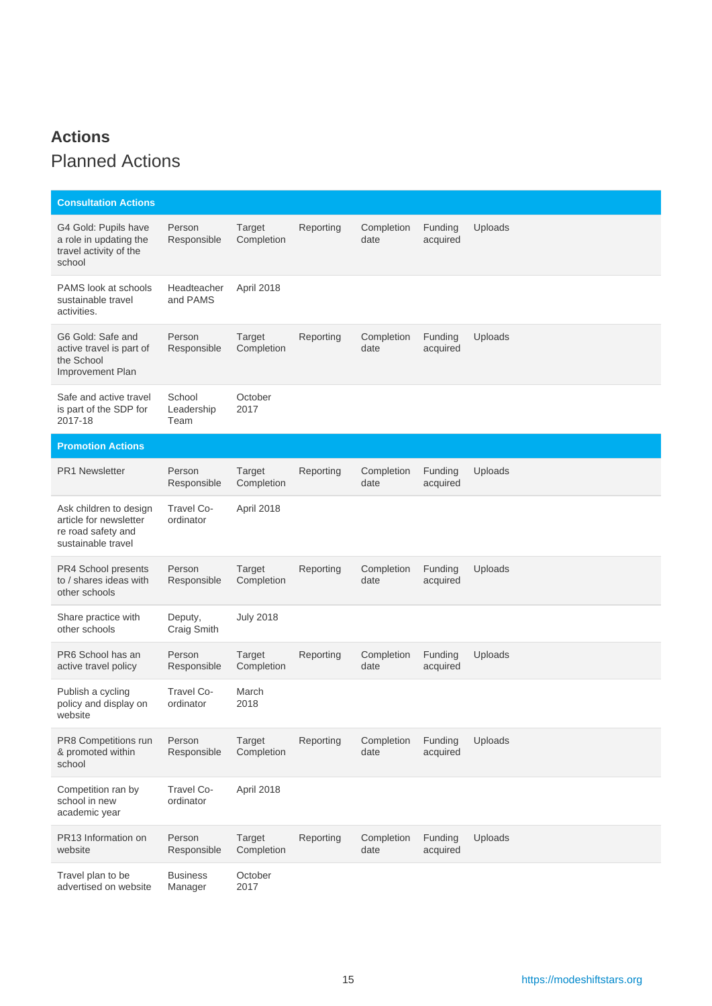## <span id="page-14-0"></span>**Actions** Planned Actions

| <b>Consultation Actions</b>                                                                  |                              |                             |           |                    |                     |         |
|----------------------------------------------------------------------------------------------|------------------------------|-----------------------------|-----------|--------------------|---------------------|---------|
| G4 Gold: Pupils have<br>a role in updating the<br>travel activity of the<br>school           | Person<br>Responsible        | Target<br>Completion        | Reporting | Completion<br>date | Funding<br>acquired | Uploads |
| PAMS look at schools<br>sustainable travel<br>activities.                                    | Headteacher<br>and PAMS      | April 2018                  |           |                    |                     |         |
| G6 Gold: Safe and<br>active travel is part of<br>the School<br>Improvement Plan              | Person<br>Responsible        | Target<br>Completion        | Reporting | Completion<br>date | Funding<br>acquired | Uploads |
| Safe and active travel<br>is part of the SDP for<br>2017-18                                  | School<br>Leadership<br>Team | October<br>2017             |           |                    |                     |         |
| <b>Promotion Actions</b>                                                                     |                              |                             |           |                    |                     |         |
| <b>PR1 Newsletter</b>                                                                        | Person<br>Responsible        | Target<br>Completion        | Reporting | Completion<br>date | Funding<br>acquired | Uploads |
| Ask children to design<br>article for newsletter<br>re road safety and<br>sustainable travel | Travel Co-<br>ordinator      | April 2018                  |           |                    |                     |         |
| PR4 School presents<br>to / shares ideas with<br>other schools                               | Person<br>Responsible        | Target<br>Completion        | Reporting | Completion<br>date | Funding<br>acquired | Uploads |
| Share practice with<br>other schools                                                         | Deputy,<br>Craig Smith       | <b>July 2018</b>            |           |                    |                     |         |
| PR6 School has an<br>active travel policy                                                    | Person<br>Responsible        | <b>Target</b><br>Completion | Reporting | Completion<br>date | Funding<br>acquired | Uploads |
| Publish a cycling<br>policy and display on<br>website                                        | Travel Co-<br>ordinator      | March<br>2018               |           |                    |                     |         |
| PR8 Competitions run<br>& promoted within<br>school                                          | Person<br>Responsible        | <b>Target</b><br>Completion | Reporting | Completion<br>date | Funding<br>acquired | Uploads |
| Competition ran by<br>school in new<br>academic year                                         | Travel Co-<br>ordinator      | April 2018                  |           |                    |                     |         |
| PR13 Information on<br>website                                                               | Person<br>Responsible        | Target<br>Completion        | Reporting | Completion<br>date | Funding<br>acquired | Uploads |
| Travel plan to be<br>advertised on website                                                   | <b>Business</b><br>Manager   | October<br>2017             |           |                    |                     |         |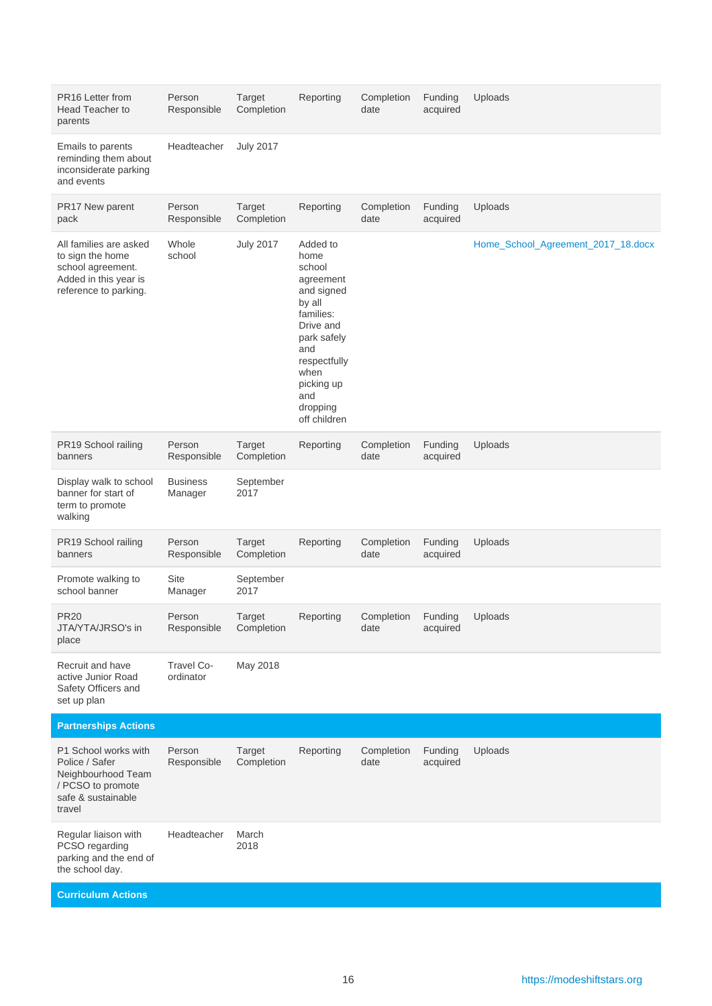| PR16 Letter from<br><b>Head Teacher to</b><br>parents                                                             | Person<br>Responsible      | <b>Target</b><br>Completion | Reporting                                                                                                                                                                                | Completion<br>date | Funding<br>acquired | Uploads                            |
|-------------------------------------------------------------------------------------------------------------------|----------------------------|-----------------------------|------------------------------------------------------------------------------------------------------------------------------------------------------------------------------------------|--------------------|---------------------|------------------------------------|
| Emails to parents<br>reminding them about<br>inconsiderate parking<br>and events                                  | Headteacher                | <b>July 2017</b>            |                                                                                                                                                                                          |                    |                     |                                    |
| PR17 New parent<br>pack                                                                                           | Person<br>Responsible      | Target<br>Completion        | Reporting                                                                                                                                                                                | Completion<br>date | Funding<br>acquired | Uploads                            |
| All families are asked<br>to sign the home<br>school agreement.<br>Added in this year is<br>reference to parking. | Whole<br>school            | <b>July 2017</b>            | Added to<br>home<br>school<br>agreement<br>and signed<br>by all<br>families:<br>Drive and<br>park safely<br>and<br>respectfully<br>when<br>picking up<br>and<br>dropping<br>off children |                    |                     | Home_School_Agreement_2017_18.docx |
| PR19 School railing<br>banners                                                                                    | Person<br>Responsible      | <b>Target</b><br>Completion | Reporting                                                                                                                                                                                | Completion<br>date | Funding<br>acquired | Uploads                            |
| Display walk to school<br>banner for start of<br>term to promote<br>walking                                       | <b>Business</b><br>Manager | September<br>2017           |                                                                                                                                                                                          |                    |                     |                                    |
| PR19 School railing<br>banners                                                                                    | Person<br>Responsible      | <b>Target</b><br>Completion | Reporting                                                                                                                                                                                | Completion<br>date | Funding<br>acquired | Uploads                            |
| Promote walking to<br>school banner                                                                               | Site<br>Manager            | September<br>2017           |                                                                                                                                                                                          |                    |                     |                                    |
| <b>PR20</b><br>JTA/YTA/JRSO's in<br>place                                                                         | Person<br>Responsible      | Target<br>Completion        | Reporting                                                                                                                                                                                | Completion<br>date | Funding<br>acquired | Uploads                            |
| Recruit and have<br>active Junior Road<br>Safety Officers and<br>set up plan                                      | Travel Co-<br>ordinator    | May 2018                    |                                                                                                                                                                                          |                    |                     |                                    |
| <b>Partnerships Actions</b>                                                                                       |                            |                             |                                                                                                                                                                                          |                    |                     |                                    |
| P1 School works with<br>Police / Safer<br>Neighbourhood Team<br>/ PCSO to promote<br>safe & sustainable<br>travel | Person<br>Responsible      | Target<br>Completion        | Reporting                                                                                                                                                                                | Completion<br>date | Funding<br>acquired | Uploads                            |
| Regular liaison with<br>PCSO regarding<br>parking and the end of<br>the school day.                               | Headteacher                | March<br>2018               |                                                                                                                                                                                          |                    |                     |                                    |
| <b>Curriculum Actions</b>                                                                                         |                            |                             |                                                                                                                                                                                          |                    |                     |                                    |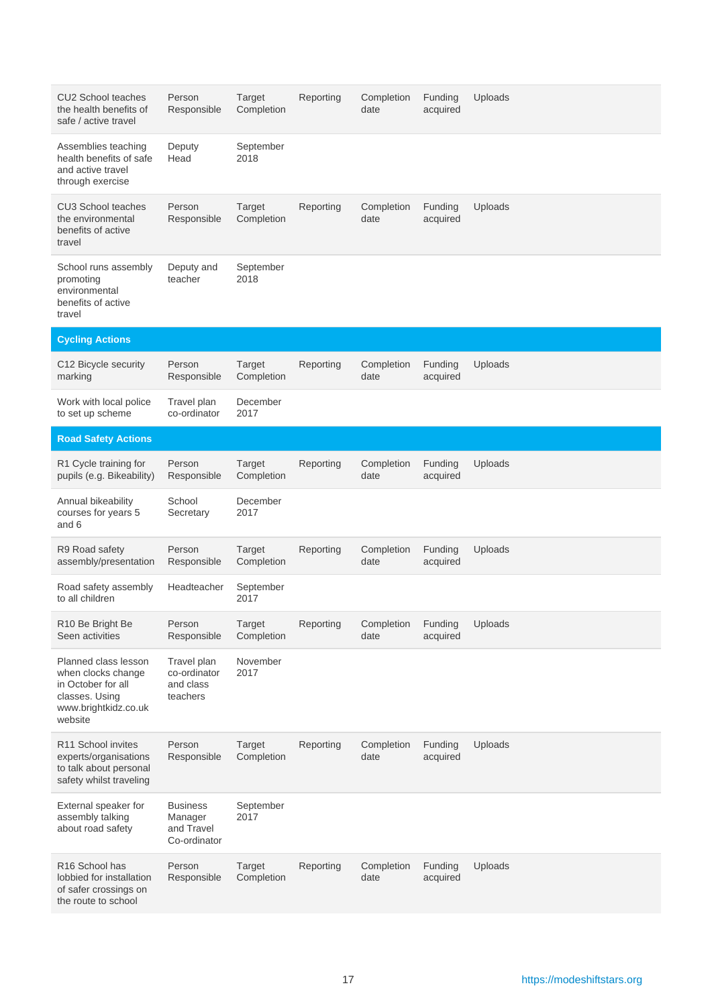| CU2 School teaches<br>the health benefits of<br>safe / active travel                                                  | Person<br>Responsible                                    | Target<br>Completion | Reporting | Completion<br>date | Funding<br>acquired | Uploads |
|-----------------------------------------------------------------------------------------------------------------------|----------------------------------------------------------|----------------------|-----------|--------------------|---------------------|---------|
| Assemblies teaching<br>health benefits of safe<br>and active travel<br>through exercise                               | Deputy<br>Head                                           | September<br>2018    |           |                    |                     |         |
| <b>CU3 School teaches</b><br>the environmental<br>benefits of active<br>travel                                        | Person<br>Responsible                                    | Target<br>Completion | Reporting | Completion<br>date | Funding<br>acquired | Uploads |
| School runs assembly<br>promoting<br>environmental<br>benefits of active<br>travel                                    | Deputy and<br>teacher                                    | September<br>2018    |           |                    |                     |         |
| <b>Cycling Actions</b>                                                                                                |                                                          |                      |           |                    |                     |         |
| C12 Bicycle security<br>marking                                                                                       | Person<br>Responsible                                    | Target<br>Completion | Reporting | Completion<br>date | Funding<br>acquired | Uploads |
| Work with local police<br>to set up scheme                                                                            | Travel plan<br>co-ordinator                              | December<br>2017     |           |                    |                     |         |
| <b>Road Safety Actions</b>                                                                                            |                                                          |                      |           |                    |                     |         |
| R1 Cycle training for<br>pupils (e.g. Bikeability)                                                                    | Person<br>Responsible                                    | Target<br>Completion | Reporting | Completion<br>date | Funding<br>acquired | Uploads |
| Annual bikeability<br>courses for years 5<br>and 6                                                                    | School<br>Secretary                                      | December<br>2017     |           |                    |                     |         |
| R9 Road safety<br>assembly/presentation                                                                               | Person<br>Responsible                                    | Target<br>Completion | Reporting | Completion<br>date | Funding<br>acquired | Uploads |
| Road safety assembly<br>to all children                                                                               | Headteacher                                              | September<br>2017    |           |                    |                     |         |
| R10 Be Bright Be<br>Seen activities                                                                                   | Person<br>Responsible                                    | Target<br>Completion | Reporting | Completion<br>date | Funding<br>acquired | Uploads |
| Planned class lesson<br>when clocks change<br>in October for all<br>classes. Using<br>www.brightkidz.co.uk<br>website | Travel plan<br>co-ordinator<br>and class<br>teachers     | November<br>2017     |           |                    |                     |         |
| R11 School invites<br>experts/organisations<br>to talk about personal<br>safety whilst traveling                      | Person<br>Responsible                                    | Target<br>Completion | Reporting | Completion<br>date | Funding<br>acquired | Uploads |
| External speaker for<br>assembly talking<br>about road safety                                                         | <b>Business</b><br>Manager<br>and Travel<br>Co-ordinator | September<br>2017    |           |                    |                     |         |
| R <sub>16</sub> School has<br>lobbied for installation<br>of safer crossings on<br>the route to school                | Person<br>Responsible                                    | Target<br>Completion | Reporting | Completion<br>date | Funding<br>acquired | Uploads |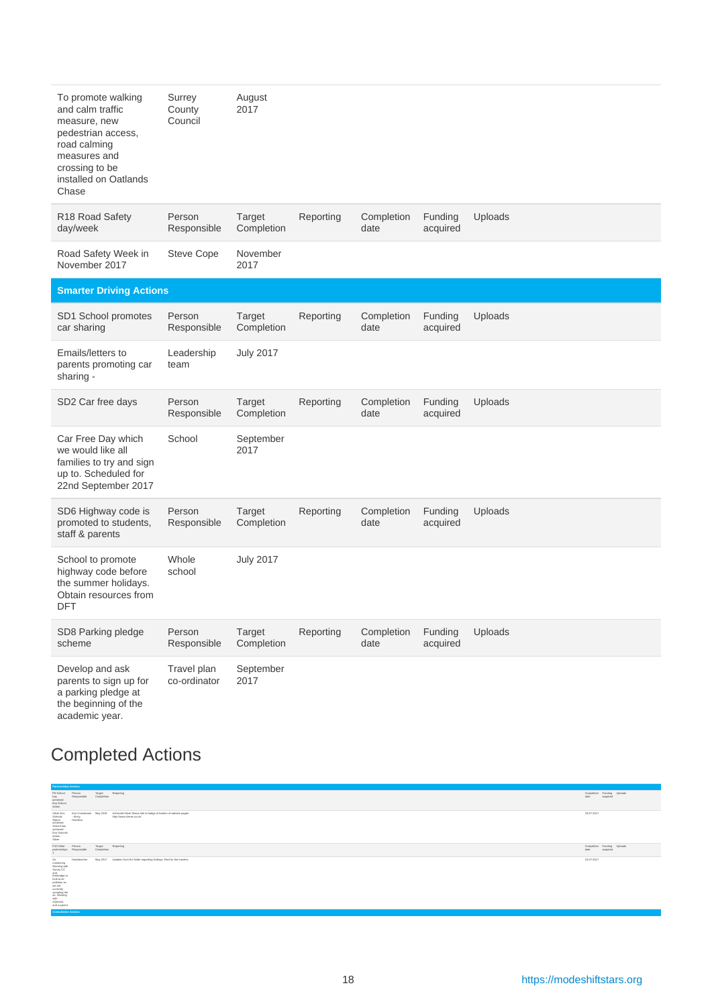| To promote walking<br>and calm traffic<br>measure, new<br>pedestrian access,<br>road calming<br>measures and<br>crossing to be<br>installed on Oatlands<br>Chase | Surrey<br>County<br>Council | August<br>2017              |           |                    |                     |         |
|------------------------------------------------------------------------------------------------------------------------------------------------------------------|-----------------------------|-----------------------------|-----------|--------------------|---------------------|---------|
| R18 Road Safety<br>day/week                                                                                                                                      | Person<br>Responsible       | <b>Target</b><br>Completion | Reporting | Completion<br>date | Funding<br>acquired | Uploads |
| Road Safety Week in<br>November 2017                                                                                                                             | <b>Steve Cope</b>           | November<br>2017            |           |                    |                     |         |
| <b>Smarter Driving Actions</b>                                                                                                                                   |                             |                             |           |                    |                     |         |
| SD1 School promotes<br>car sharing                                                                                                                               | Person<br>Responsible       | <b>Target</b><br>Completion | Reporting | Completion<br>date | Funding<br>acquired | Uploads |
| Emails/letters to<br>parents promoting car<br>sharing -                                                                                                          | Leadership<br>team          | <b>July 2017</b>            |           |                    |                     |         |
| SD2 Car free days                                                                                                                                                | Person<br>Responsible       | <b>Target</b><br>Completion | Reporting | Completion<br>date | Funding<br>acquired | Uploads |
| Car Free Day which<br>we would like all<br>families to try and sign<br>up to. Scheduled for<br>22nd September 2017                                               | School                      | September<br>2017           |           |                    |                     |         |
| SD6 Highway code is<br>promoted to students,<br>staff & parents                                                                                                  | Person<br>Responsible       | <b>Target</b><br>Completion | Reporting | Completion<br>date | Funding<br>acquired | Uploads |
| School to promote<br>highway code before<br>the summer holidays.<br>Obtain resources from<br>DFT                                                                 | Whole<br>school             | <b>July 2017</b>            |           |                    |                     |         |
| SD8 Parking pledge<br>scheme                                                                                                                                     | Person<br>Responsible       | Target<br>Completion        | Reporting | Completion<br>date | Funding<br>acquired | Uploads |
| Develop and ask<br>parents to sign up for<br>a parking pledge at<br>the beginning of the<br>academic year.                                                       | Travel plan<br>co-ordinator | September<br>2017           |           |                    |                     |         |

# Completed Actions

| <b>Partnerships Actions</b>                                                                                                                                                                                                                                                             |                                                |
|-----------------------------------------------------------------------------------------------------------------------------------------------------------------------------------------------------------------------------------------------------------------------------------------|------------------------------------------------|
| P6 School<br>Target<br>Completion<br>Reporting<br>Person<br>has<br>achieved<br>Responsible<br>Eco School<br>status<br>_                                                                                                                                                                 | Completion Funding Uploads<br>date<br>acquired |
| Silver Eco<br>Schools<br>Stetus<br>achieved<br>Achieved Silver Status link to badge of bottom of website pages:<br>Eco-Coordinator May 2016<br>- Kirsty<br>Hamilton<br>http://www.cleves.co.uk/<br>School has<br>achieved<br>Eco Schools<br>status -<br>Silver                          | 19-07-2017                                     |
| P10 Other<br>Target<br>Completion<br>Reporting<br>Person<br>partnerships<br>Responsible<br>1<br>___                                                                                                                                                                                     | Completion Funding Uploads<br>date<br>acquired |
| May 2017 Updates from Ed Salter regarding findings. Paid for the meshes<br>Air<br>monitoring<br>Headsacher<br>Working with<br>Surrey CC<br>and<br>Eimbridge to<br>look at air<br>pollution as<br>we are<br>currently<br>sampling the<br>air. Working<br>with<br>AQmesh,<br>and a parent | 24-07-2017                                     |
| <b>Consultation Actions</b>                                                                                                                                                                                                                                                             |                                                |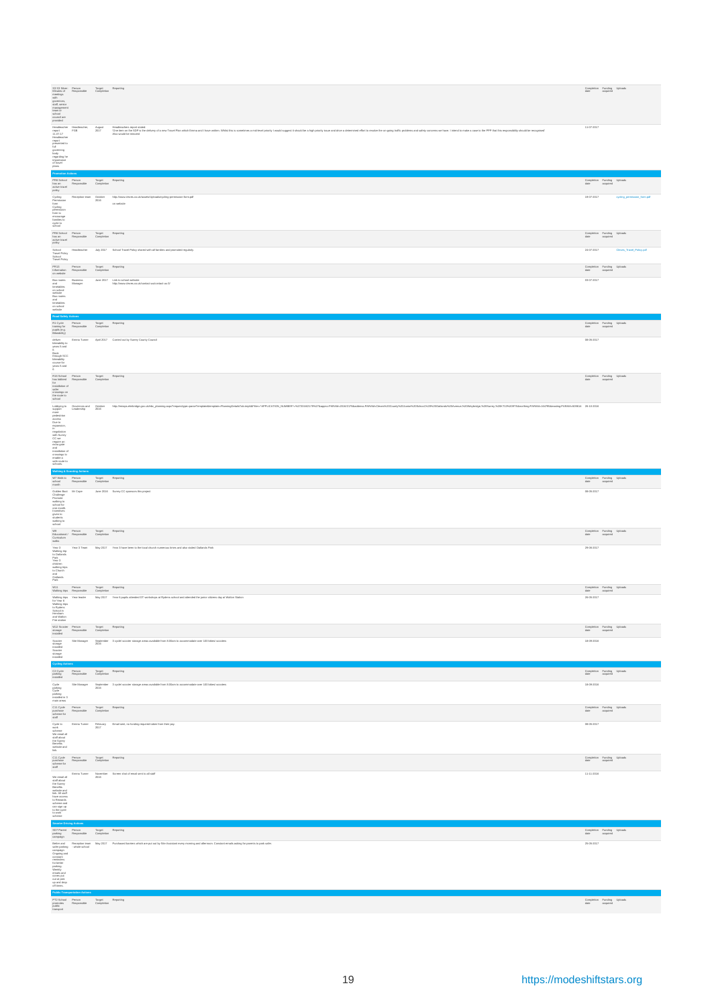|                                                                                                                                                                                                                                                                        | $\begin{tabular}{lllllllllll} \texttt{S3:53:50:vec:} & \texttt{Purano:} & \texttt{Target:} & \texttt{Regioning} \\ & \texttt{Maximal:of} & \texttt{Range:} & \texttt{Compusion} \\ & \texttt{power} & \texttt{power} \\ & \texttt{output} & \texttt{start} & \texttt{start} \\ & \texttt{start} & \texttt{start} \\ & \texttt{start} & \texttt{start} \\ & \texttt{second:of} & \texttt{test} \\ & \texttt{second:of} & \texttt{test} \\ \end{tabular}$ |                                                                                                                                                                                                                                                                        | Completion Funding Uploads<br>date acquired                                                                                         |
|------------------------------------------------------------------------------------------------------------------------------------------------------------------------------------------------------------------------------------------------------------------------|---------------------------------------------------------------------------------------------------------------------------------------------------------------------------------------------------------------------------------------------------------------------------------------------------------------------------------------------------------------------------------------------------------------------------------------------------------|------------------------------------------------------------------------------------------------------------------------------------------------------------------------------------------------------------------------------------------------------------------------|-------------------------------------------------------------------------------------------------------------------------------------|
|                                                                                                                                                                                                                                                                        |                                                                                                                                                                                                                                                                                                                                                                                                                                                         | youtube<br>  Hotel Machine Age   Hotelsten with the Search Except a show of the North State of the North Links and the Search of the Search of the Search of the Search of the Search of the Search of the Search of the Search o                                      | 11-07-2017                                                                                                                          |
|                                                                                                                                                                                                                                                                        |                                                                                                                                                                                                                                                                                                                                                                                                                                                         |                                                                                                                                                                                                                                                                        | Completion Funding Uploads<br>date acquired                                                                                         |
| Cycling<br>Permission<br>Cycling<br>permission<br>permission<br>families to<br>cycle to<br>cycle to<br>school                                                                                                                                                          |                                                                                                                                                                                                                                                                                                                                                                                                                                                         | $\begin{minipage}{0.9\linewidth} Reception to a em & http://www.divers.co.uk/issistsUploadsicyding-pormisian-form.pdf \\ 2016 & \end{minipage}$<br>on website                                                                                                          | 19-07-2017<br>cycling_parmission_form.pdf                                                                                           |
|                                                                                                                                                                                                                                                                        |                                                                                                                                                                                                                                                                                                                                                                                                                                                         |                                                                                                                                                                                                                                                                        | $\begin{tabular}{ll} Correlation & Funding & Uploads \\ \end{tabular}$                                                              |
|                                                                                                                                                                                                                                                                        | PRS School Person<br>Magnot Responsible Completion Reporting<br>Asian Magnotulide Completion<br>policy<br>School Pelay<br>District Pelay<br>District Pelay<br>Travell Pelay<br>Travel Pelay<br>Travel Pelay                                                                                                                                                                                                                                             | Headteacher July 2017 School Travel Policy shared with all families and promoted regularly.                                                                                                                                                                            | 24-07-2017<br>Cleves_Travel_Policy.pdf                                                                                              |
|                                                                                                                                                                                                                                                                        |                                                                                                                                                                                                                                                                                                                                                                                                                                                         |                                                                                                                                                                                                                                                                        | Completion Funding Uploads<br>date acquired<br>03-07-2017                                                                           |
|                                                                                                                                                                                                                                                                        |                                                                                                                                                                                                                                                                                                                                                                                                                                                         | rearrance<br>1983 — Pennam II, project († 1958)<br>1983 — Pennam II, project († 1958)<br>1984 — Baristan Baringar — Jona 2017 - Uniter technicus deskter militaire<br>1984 — Manager — Jones 2017 - Uniter technicus deskter militaires<br>                            |                                                                                                                                     |
|                                                                                                                                                                                                                                                                        | website<br>Road Sality Actions<br>R1 Cycle Person Target Reporting<br>Papile Responsible Completion<br>Papile (e.g.<br>Bikesbildy)                                                                                                                                                                                                                                                                                                                      |                                                                                                                                                                                                                                                                        | Completion Funding Uploads<br>date acquired                                                                                         |
|                                                                                                                                                                                                                                                                        |                                                                                                                                                                                                                                                                                                                                                                                                                                                         | okina<br>Libaadiley to Emma Turnar April 2017 Carried out by Surrey County Council<br>Plane S and<br>Book<br>Book<br>Decay SCC<br>Decay<br>Planup SCC<br>Decay<br>Plane SCC<br>Decay<br>Decay<br>Plane SCC<br>Decay<br>Decay<br>Plane SCC                              | 08-05-2017                                                                                                                          |
|                                                                                                                                                                                                                                                                        | R16 School Person<br>Internacional Tanger<br>Internacional Completion<br>Installation of<br>Installation of<br>School Terms<br>And Decay<br>School Terms<br>And Decay<br>School Decay<br>Installation of                                                                                                                                                                                                                                                |                                                                                                                                                                                                                                                                        | Completion Funding Uploads<br>date acquired                                                                                         |
|                                                                                                                                                                                                                                                                        |                                                                                                                                                                                                                                                                                                                                                                                                                                                         |                                                                                                                                                                                                                                                                        |                                                                                                                                     |
|                                                                                                                                                                                                                                                                        |                                                                                                                                                                                                                                                                                                                                                                                                                                                         |                                                                                                                                                                                                                                                                        | Completion Funding Uploads<br>date acquired                                                                                         |
|                                                                                                                                                                                                                                                                        |                                                                                                                                                                                                                                                                                                                                                                                                                                                         |                                                                                                                                                                                                                                                                        |                                                                                                                                     |
|                                                                                                                                                                                                                                                                        |                                                                                                                                                                                                                                                                                                                                                                                                                                                         |                                                                                                                                                                                                                                                                        | $\begin{tabular}{ll} Correlation & Funding & Uploads \\ \textit{data} & acquired \end{tabular}$                                     |
| Year 3<br>waking trip<br>to Oatlands<br>Park<br>Year 3<br>walking trips<br>to Church<br>and<br>Oatlands<br>Park<br>Park                                                                                                                                                |                                                                                                                                                                                                                                                                                                                                                                                                                                                         | Year 3 Team May 2017 Year 3 have been to the local church numerous times and also visited Oatlands Park                                                                                                                                                                | 29-06-2017                                                                                                                          |
|                                                                                                                                                                                                                                                                        | $\begin{tabular}{llll} \hline \textbf{W11} & \textbf{Person} & \textbf{Taget} & \textbf{Reporing} \\ \textbf{Wuking ring} & \textbf{Resporuible} & \textbf{Corrplution} \end{tabular}$                                                                                                                                                                                                                                                                  |                                                                                                                                                                                                                                                                        | Completion Funding Uploads<br>date acquired<br>26-05-2017                                                                           |
|                                                                                                                                                                                                                                                                        |                                                                                                                                                                                                                                                                                                                                                                                                                                                         | thickny view. Your leader May 2017 - Your 5 pagin, alterded DT workshops at Pyders school and attended its juster olders day at Walters Dation.<br>Toward you<br>Toward Show II<br>Babasara<br>Babasara                                                                |                                                                                                                                     |
|                                                                                                                                                                                                                                                                        | $\begin{tabular}{lcccc} W12 Score & Person & Target & Reporing \\ intmap & Reupcr is the & Compusion \\ & readed & & \end{tabular}$                                                                                                                                                                                                                                                                                                                     |                                                                                                                                                                                                                                                                        | $\begin{tabular}{ll} \textbf{Correlation} & \textbf{Funding} & \textbf{Uploads} \\ \textbf{data} & \textbf{acquired} \end{tabular}$ |
|                                                                                                                                                                                                                                                                        |                                                                                                                                                                                                                                                                                                                                                                                                                                                         | Scorene Sina Manager - September - 3 cyclel scoren stranga areas available from 5.00em to accommodate over 100 bikes/accounts<br>stranged<br>Scorene - Stranged<br>Virtuited                                                                                           | 18-09-2016                                                                                                                          |
| <b>Cycling Actions<br/>C2 Cycle Provides Providing R</b><br>Proteing R                                                                                                                                                                                                 | Person Target Reporting<br>Responsible Completion                                                                                                                                                                                                                                                                                                                                                                                                       |                                                                                                                                                                                                                                                                        | Completion Funding Uploads<br>date acquired                                                                                         |
| Cycle<br>parking<br>Cycle<br>parking<br>installed in 3<br>main areas                                                                                                                                                                                                   |                                                                                                                                                                                                                                                                                                                                                                                                                                                         | Site Manager September 3 cycle/ scooter storage areas available from 8.00am to accommodate over 100 bikes/ scoo                                                                                                                                                        | 18-09-2016                                                                                                                          |
|                                                                                                                                                                                                                                                                        | $\texttt{C11}$ Cycle Person Target Reporting porchase Responsible Completion scheme for                                                                                                                                                                                                                                                                                                                                                                 |                                                                                                                                                                                                                                                                        | $\begin{tabular}{ll} Correlation & Funding & Upleads \\ \end{tabular}$                                                              |
|                                                                                                                                                                                                                                                                        |                                                                                                                                                                                                                                                                                                                                                                                                                                                         | Cycle to $$\tt\footnotesize{Erms\,Tums\,} $$ Featurey $$\tt\footnotesize{Ermb\,}$ tend serv, no harding required taken from their pay. We email all the main field $$\tt\footnotesize{2017}$$ and fields the main of the main of the main field for which and the main | 08-05-2017                                                                                                                          |
|                                                                                                                                                                                                                                                                        | uroc.<br>C11 Cycle Person Target Reporting<br>purchase Responsible Completion<br>solderns for                                                                                                                                                                                                                                                                                                                                                           |                                                                                                                                                                                                                                                                        | $\begin{tabular}{llll} Correlation & Funding & Upleads \\ data & acquired \end{tabular}$                                            |
| We email all<br>staff about<br>the Surrey<br>Beneifs<br>webink and<br>webink and link. All staff<br>to Rewards<br>to Remarks<br>achieve access<br>to the source of the spin p<br>to the social scheme and<br>to the vocation<br>to the spin p<br>to the vocation<br>to |                                                                                                                                                                                                                                                                                                                                                                                                                                                         | $\begin{tabular}{ll} \textbf{Error} & \textbf{November} & \textbf{Screen shot of email sent to all staff} \\ & \textbf{2016} & \end{tabular}$                                                                                                                          | 11-11-2016                                                                                                                          |
|                                                                                                                                                                                                                                                                        | screens<br>Smarter Driving Actions<br>SDT Parant – Person<br>parking<br>campaign – Responsible – Completion – Campaign                                                                                                                                                                                                                                                                                                                                  |                                                                                                                                                                                                                                                                        | $\begin{tabular}{ll} \textbf{Correlation} & \textbf{Funding} & \textbf{Upleads} \\ \textbf{data} & \textbf{acquired} \end{tabular}$ |
|                                                                                                                                                                                                                                                                        |                                                                                                                                                                                                                                                                                                                                                                                                                                                         | י אויינוסיים<br>האופן של המשפחה המשפחה המשפחה המשפחה המשפחה המשפחה המשפחה המשפחה המשפחה המשפחה המשפחה המשפחה המשפחה המשפחה המש<br>המשפחה המשפחה המשפחה המשפחה המשפחה המשפחה המשפחה המשפחה המשפחה המשפחה המשפחה המשפחה המשפחה המשפח                                     | 25-05-2017                                                                                                                          |
|                                                                                                                                                                                                                                                                        | on unsue<br>Public Transportation Actions<br>PT2 School Person<br>Responsible Responsible Completion<br>public Completion                                                                                                                                                                                                                                                                                                                               |                                                                                                                                                                                                                                                                        | Completion Funding Uploads<br>date acquired                                                                                         |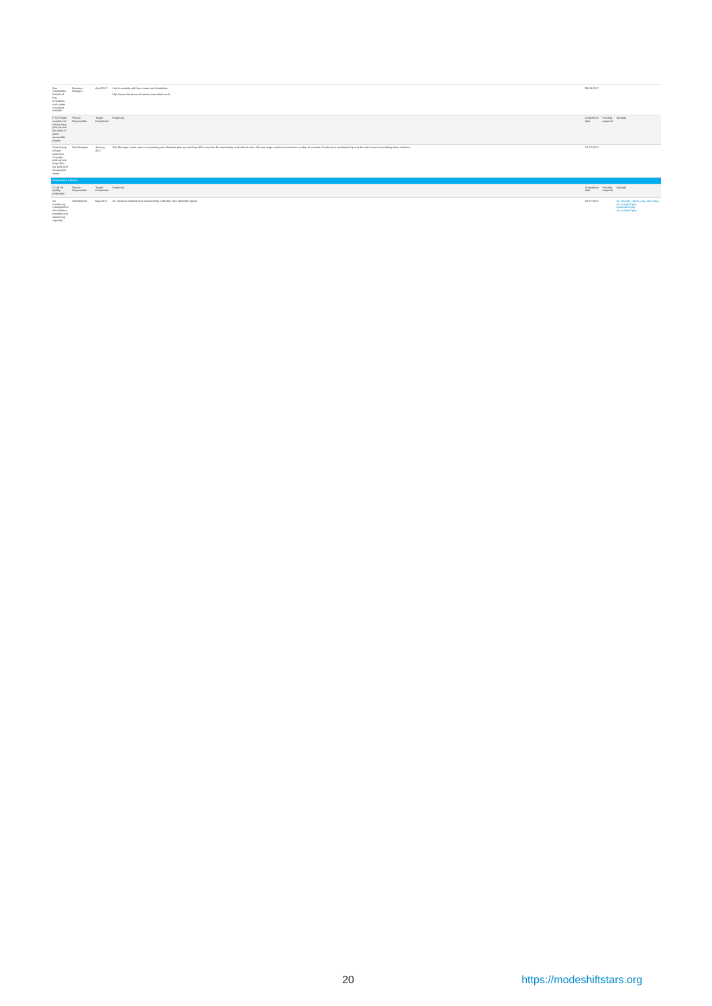| Bus<br>Timetables<br>Details of<br>bus<br>timetables<br>and routes<br>on school<br>website                           | Business<br>Manager   | April 2017             | Link to website with bus routes and timetables:<br>http://www.cleves.co.uk/contact-us/contact-us-3/                                                                                                                            | 09-04-2017                         |          |                                                                                          |
|----------------------------------------------------------------------------------------------------------------------|-----------------------|------------------------|--------------------------------------------------------------------------------------------------------------------------------------------------------------------------------------------------------------------------------|------------------------------------|----------|------------------------------------------------------------------------------------------|
| PT4 Private<br>coaches for<br>school trips<br>pick up and<br>set down in<br>safe /<br>accessible<br>places           | Person<br>Responsible | Target<br>Completion   | Reporting                                                                                                                                                                                                                      | Completion Funding Uploads<br>date | acquired |                                                                                          |
| Coach drop<br>off and<br>collection<br>Coaches<br>pick up and<br>drop off in<br>car park and<br>designated<br>areas. | Site Manager          | <b>January</b><br>2017 | She Manager cones area in car parking and allocates pick up and drop off for coaches for residentials and schools trips. We use large coaches to minimise number of coaches. Evidence is residential trip and the start of acc | 11-07-2017                         |          |                                                                                          |
| <b>Curriculum Actions</b>                                                                                            |                       |                        |                                                                                                                                                                                                                                |                                    |          |                                                                                          |
| CU14 Air<br>quality<br>promotion                                                                                     | Person<br>Responsible | Target<br>Completion   | Reporting                                                                                                                                                                                                                      | Completion Funding Uploads<br>date | acquired |                                                                                          |
| Air<br>monitoring<br>management<br>Air monitors<br>installed and<br>data being<br>reported                           | Headsacher            |                        | May 2017 Air monitors installed and reports being collected. See attached reports                                                                                                                                              | 15-07-2017                         |          | Air_Sample_report_July_2017.docx<br>Air sample1.png<br>Airsample2.png<br>Air sample3.png |